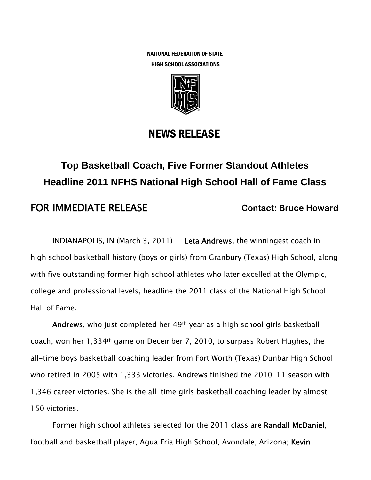NATIONAL FEDERATION OF STATE HIGH SCHOOL ASSOCIATIONS



## NEWS RELEASE

# **Top Basketball Coach, Five Former Standout Athletes Headline 2011 NFHS National High School Hall of Fame Class**

### FOR IMMEDIATE RELEASE **Contact: Bruce Howard**

INDIANAPOLIS, IN (March 3, 2011) — Leta Andrews, the winningest coach in high school basketball history (boys or girls) from Granbury (Texas) High School, along with five outstanding former high school athletes who later excelled at the Olympic, college and professional levels, headline the 2011 class of the National High School Hall of Fame.

Andrews, who just completed her 49th year as a high school girls basketball coach, won her 1,334th game on December 7, 2010, to surpass Robert Hughes, the all-time boys basketball coaching leader from Fort Worth (Texas) Dunbar High School who retired in 2005 with 1,333 victories. Andrews finished the 2010-11 season with 1,346 career victories. She is the all-time girls basketball coaching leader by almost 150 victories.

Former high school athletes selected for the 2011 class are Randall McDaniel, football and basketball player, Agua Fria High School, Avondale, Arizona; Kevin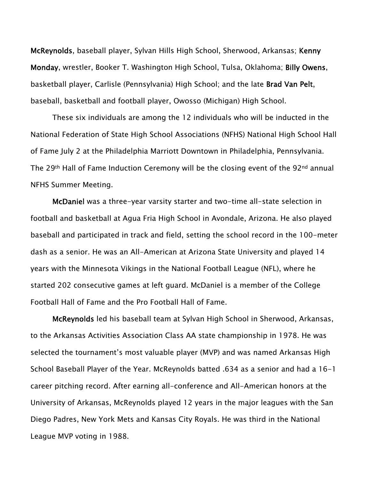McReynolds, baseball player, Sylvan Hills High School, Sherwood, Arkansas; Kenny Monday, wrestler, Booker T. Washington High School, Tulsa, Oklahoma; Billy Owens, basketball player, Carlisle (Pennsylvania) High School; and the late Brad Van Pelt, baseball, basketball and football player, Owosso (Michigan) High School.

These six individuals are among the 12 individuals who will be inducted in the National Federation of State High School Associations (NFHS) National High School Hall of Fame July 2 at the Philadelphia Marriott Downtown in Philadelphia, Pennsylvania. The 29<sup>th</sup> Hall of Fame Induction Ceremony will be the closing event of the 92<sup>nd</sup> annual NFHS Summer Meeting.

McDaniel was a three-year varsity starter and two-time all-state selection in football and basketball at Agua Fria High School in Avondale, Arizona. He also played baseball and participated in track and field, setting the school record in the 100-meter dash as a senior. He was an All-American at Arizona State University and played 14 years with the Minnesota Vikings in the National Football League (NFL), where he started 202 consecutive games at left guard. McDaniel is a member of the College Football Hall of Fame and the Pro Football Hall of Fame.

McReynolds led his baseball team at Sylvan High School in Sherwood, Arkansas, to the Arkansas Activities Association Class AA state championship in 1978. He was selected the tournament's most valuable player (MVP) and was named Arkansas High School Baseball Player of the Year. McReynolds batted .634 as a senior and had a 16-1 career pitching record. After earning all-conference and All-American honors at the University of Arkansas, McReynolds played 12 years in the major leagues with the San Diego Padres, New York Mets and Kansas City Royals. He was third in the National League MVP voting in 1988.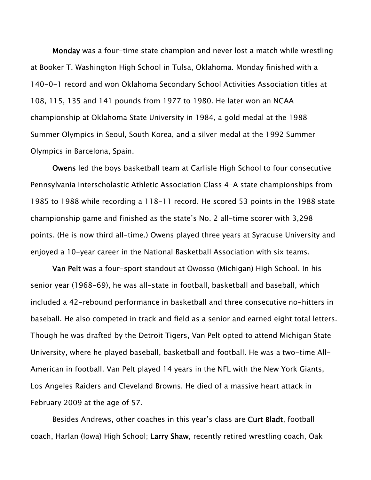Monday was a four-time state champion and never lost a match while wrestling at Booker T. Washington High School in Tulsa, Oklahoma. Monday finished with a 140-0-1 record and won Oklahoma Secondary School Activities Association titles at 108, 115, 135 and 141 pounds from 1977 to 1980. He later won an NCAA championship at Oklahoma State University in 1984, a gold medal at the 1988 Summer Olympics in Seoul, South Korea, and a silver medal at the 1992 Summer Olympics in Barcelona, Spain.

Owens led the boys basketball team at Carlisle High School to four consecutive Pennsylvania Interscholastic Athletic Association Class 4-A state championships from 1985 to 1988 while recording a 118-11 record. He scored 53 points in the 1988 state championship game and finished as the state's No. 2 all-time scorer with 3,298 points. (He is now third all-time.) Owens played three years at Syracuse University and enjoyed a 10-year career in the National Basketball Association with six teams.

Van Pelt was a four-sport standout at Owosso (Michigan) High School. In his senior year (1968-69), he was all-state in football, basketball and baseball, which included a 42-rebound performance in basketball and three consecutive no-hitters in baseball. He also competed in track and field as a senior and earned eight total letters. Though he was drafted by the Detroit Tigers, Van Pelt opted to attend Michigan State University, where he played baseball, basketball and football. He was a two-time All-American in football. Van Pelt played 14 years in the NFL with the New York Giants, Los Angeles Raiders and Cleveland Browns. He died of a massive heart attack in February 2009 at the age of 57.

Besides Andrews, other coaches in this year's class are Curt Bladt, football coach, Harlan (Iowa) High School; Larry Shaw, recently retired wrestling coach, Oak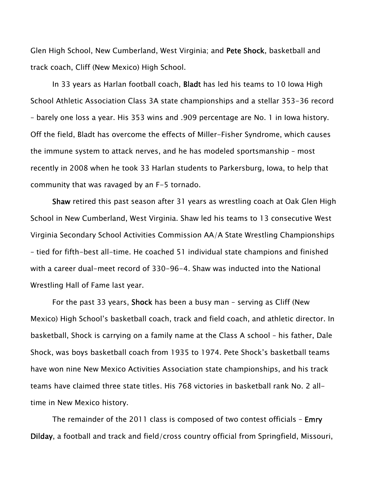Glen High School, New Cumberland, West Virginia; and Pete Shock, basketball and track coach, Cliff (New Mexico) High School.

In 33 years as Harlan football coach, Bladt has led his teams to 10 Iowa High School Athletic Association Class 3A state championships and a stellar 353-36 record – barely one loss a year. His 353 wins and .909 percentage are No. 1 in Iowa history. Off the field, Bladt has overcome the effects of Miller-Fisher Syndrome, which causes the immune system to attack nerves, and he has modeled sportsmanship – most recently in 2008 when he took 33 Harlan students to Parkersburg, Iowa, to help that community that was ravaged by an F-5 tornado.

Shaw retired this past season after 31 years as wrestling coach at Oak Glen High School in New Cumberland, West Virginia. Shaw led his teams to 13 consecutive West Virginia Secondary School Activities Commission AA/A State Wrestling Championships – tied for fifth-best all-time. He coached 51 individual state champions and finished with a career dual-meet record of 330-96-4. Shaw was inducted into the National Wrestling Hall of Fame last year.

For the past 33 years, Shock has been a busy man – serving as Cliff (New Mexico) High School's basketball coach, track and field coach, and athletic director. In basketball, Shock is carrying on a family name at the Class A school – his father, Dale Shock, was boys basketball coach from 1935 to 1974. Pete Shock's basketball teams have won nine New Mexico Activities Association state championships, and his track teams have claimed three state titles. His 768 victories in basketball rank No. 2 alltime in New Mexico history.

The remainder of the 2011 class is composed of two contest officials - **Emry** Dilday, a football and track and field/cross country official from Springfield, Missouri,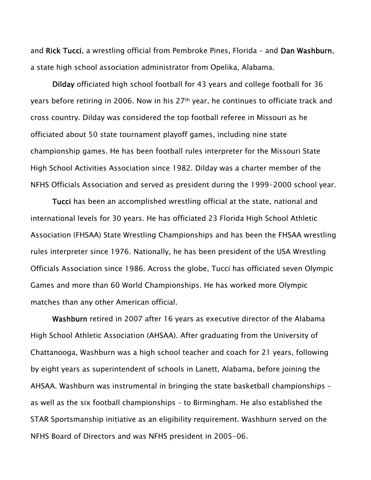and Rick Tucci, a wrestling official from Pembroke Pines, Florida – and Dan Washburn, a state high school association administrator from Opelika, Alabama.

Dilday officiated high school football for 43 years and college football for 36 years before retiring in 2006. Now in his 27th year, he continues to officiate track and cross country. Dilday was considered the top football referee in Missouri as he officiated about 50 state tournament playoff games, including nine state championship games. He has been football rules interpreter for the Missouri State High School Activities Association since 1982. Dilday was a charter member of the NFHS Officials Association and served as president during the 1999-2000 school year.

Tucci has been an accomplished wrestling official at the state, national and international levels for 30 years. He has officiated 23 Florida High School Athletic Association (FHSAA) State Wrestling Championships and has been the FHSAA wrestling rules interpreter since 1976. Nationally, he has been president of the USA Wrestling Officials Association since 1986. Across the globe, Tucci has officiated seven Olympic Games and more than 60 World Championships. He has worked more Olympic matches than any other American official.

Washburn retired in 2007 after 16 years as executive director of the Alabama High School Athletic Association (AHSAA). After graduating from the University of Chattanooga, Washburn was a high school teacher and coach for 21 years, following by eight years as superintendent of schools in Lanett, Alabama, before joining the AHSAA. Washburn was instrumental in bringing the state basketball championships – as well as the six football championships – to Birmingham. He also established the STAR Sportsmanship initiative as an eligibility requirement. Washburn served on the NFHS Board of Directors and was NFHS president in 2005-06.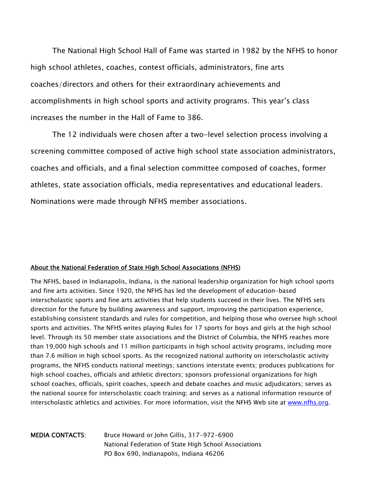The National High School Hall of Fame was started in 1982 by the NFHS to honor high school athletes, coaches, contest officials, administrators, fine arts coaches/directors and others for their extraordinary achievements and accomplishments in high school sports and activity programs. This year's class increases the number in the Hall of Fame to 386.

The 12 individuals were chosen after a two-level selection process involving a screening committee composed of active high school state association administrators, coaches and officials, and a final selection committee composed of coaches, former athletes, state association officials, media representatives and educational leaders. Nominations were made through NFHS member associations.

#### About the National Federation of State High School Associations (NFHS)

The NFHS, based in Indianapolis, Indiana, is the national leadership organization for high school sports and fine arts activities. Since 1920, the NFHS has led the development of education-based interscholastic sports and fine arts activities that help students succeed in their lives. The NFHS sets direction for the future by building awareness and support, improving the participation experience, establishing consistent standards and rules for competition, and helping those who oversee high school sports and activities. The NFHS writes playing Rules for 17 sports for boys and girls at the high school level. Through its 50 member state associations and the District of Columbia, the NFHS reaches more than 19,000 high schools and 11 million participants in high school activity programs, including more than 7.6 million in high school sports. As the recognized national authority on interscholastic activity programs, the NFHS conducts national meetings; sanctions interstate events; produces publications for high school coaches, officials and athletic directors; sponsors professional organizations for high school coaches, officials, spirit coaches, speech and debate coaches and music adjudicators; serves as the national source for interscholastic coach training; and serves as a national information resource of interscholastic athletics and activities. For more information, visit the NFHS Web site at www.nfhs.org.

MEDIA CONTACTS: Bruce Howard or John Gillis, 317-972-6900 National Federation of State High School Associations PO Box 690, Indianapolis, Indiana 46206